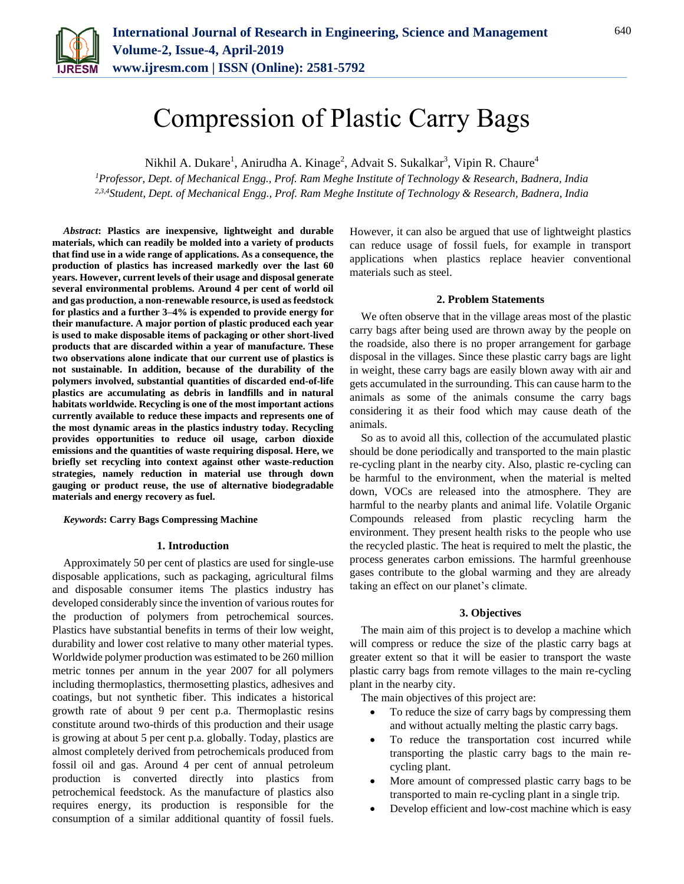

Nikhil A. Dukare<sup>1</sup>, Anirudha A. Kinage<sup>2</sup>, Advait S. Sukalkar<sup>3</sup>, Vipin R. Chaure<sup>4</sup>

*<sup>1</sup>Professor, Dept. of Mechanical Engg., Prof. Ram Meghe Institute of Technology & Research, Badnera, India 2,3,4Student, Dept. of Mechanical Engg., Prof. Ram Meghe Institute of Technology & Research, Badnera, India*

*Abstract***: Plastics are inexpensive, lightweight and durable materials, which can readily be molded into a variety of products that find use in a wide range of applications. As a consequence, the production of plastics has increased markedly over the last 60 years. However, current levels of their usage and disposal generate several environmental problems. Around 4 per cent of world oil and gas production, a non-renewable resource, is used as feedstock for plastics and a further 3–4% is expended to provide energy for their manufacture. A major portion of plastic produced each year is used to make disposable items of packaging or other short-lived products that are discarded within a year of manufacture. These two observations alone indicate that our current use of plastics is not sustainable. In addition, because of the durability of the polymers involved, substantial quantities of discarded end-of-life plastics are accumulating as debris in landfills and in natural habitats worldwide. Recycling is one of the most important actions currently available to reduce these impacts and represents one of the most dynamic areas in the plastics industry today. Recycling provides opportunities to reduce oil usage, carbon dioxide emissions and the quantities of waste requiring disposal. Here, we briefly set recycling into context against other waste-reduction strategies, namely reduction in material use through down gauging or product reuse, the use of alternative biodegradable materials and energy recovery as fuel.**

*Keywords***: Carry Bags Compressing Machine** 

### **1. Introduction**

Approximately 50 per cent of plastics are used for single-use disposable applications, such as packaging, agricultural films and disposable consumer items The plastics industry has developed considerably since the invention of various routes for the production of polymers from petrochemical sources. Plastics have substantial benefits in terms of their low weight, durability and lower cost relative to many other material types. Worldwide polymer production was estimated to be 260 million metric tonnes per annum in the year 2007 for all polymers including thermoplastics, thermosetting plastics, adhesives and coatings, but not synthetic fiber. This indicates a historical growth rate of about 9 per cent p.a. Thermoplastic resins constitute around two-thirds of this production and their usage is growing at about 5 per cent p.a. globally. Today, plastics are almost completely derived from petrochemicals produced from fossil oil and gas. Around 4 per cent of annual petroleum production is converted directly into plastics from petrochemical feedstock. As the manufacture of plastics also requires energy, its production is responsible for the consumption of a similar additional quantity of fossil fuels. However, it can also be argued that use of lightweight plastics can reduce usage of fossil fuels, for example in transport applications when plastics replace heavier conventional materials such as steel.

#### **2. Problem Statements**

We often observe that in the village areas most of the plastic carry bags after being used are thrown away by the people on the roadside, also there is no proper arrangement for garbage disposal in the villages. Since these plastic carry bags are light in weight, these carry bags are easily blown away with air and gets accumulated in the surrounding. This can cause harm to the animals as some of the animals consume the carry bags considering it as their food which may cause death of the animals.

So as to avoid all this, collection of the accumulated plastic should be done periodically and transported to the main plastic re-cycling plant in the nearby city. Also, plastic re-cycling can be harmful to the environment, when the material is melted down, VOCs are released into the atmosphere. They are harmful to the nearby plants and animal life. Volatile Organic Compounds released from plastic recycling harm the environment. They present health risks to the people who use the recycled plastic. The heat is required to melt the plastic, the process generates carbon emissions. The harmful greenhouse gases contribute to the global warming and they are already taking an effect on our planet's climate.

## **3. Objectives**

The main aim of this project is to develop a machine which will compress or reduce the size of the plastic carry bags at greater extent so that it will be easier to transport the waste plastic carry bags from remote villages to the main re-cycling plant in the nearby city.

The main objectives of this project are:

- To reduce the size of carry bags by compressing them and without actually melting the plastic carry bags.
- To reduce the transportation cost incurred while transporting the plastic carry bags to the main recycling plant.
- More amount of compressed plastic carry bags to be transported to main re-cycling plant in a single trip.
- Develop efficient and low-cost machine which is easy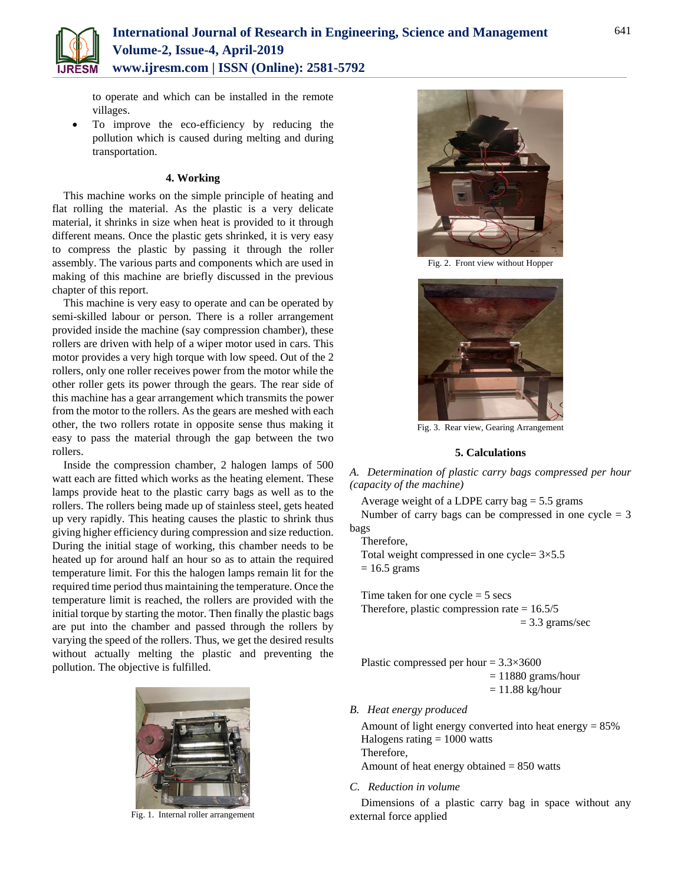

to operate and which can be installed in the remote villages.

 To improve the eco-efficiency by reducing the pollution which is caused during melting and during transportation.

## **4. Working**

This machine works on the simple principle of heating and flat rolling the material. As the plastic is a very delicate material, it shrinks in size when heat is provided to it through different means. Once the plastic gets shrinked, it is very easy to compress the plastic by passing it through the roller assembly. The various parts and components which are used in making of this machine are briefly discussed in the previous chapter of this report.

This machine is very easy to operate and can be operated by semi-skilled labour or person. There is a roller arrangement provided inside the machine (say compression chamber), these rollers are driven with help of a wiper motor used in cars. This motor provides a very high torque with low speed. Out of the 2 rollers, only one roller receives power from the motor while the other roller gets its power through the gears. The rear side of this machine has a gear arrangement which transmits the power from the motor to the rollers. As the gears are meshed with each other, the two rollers rotate in opposite sense thus making it easy to pass the material through the gap between the two rollers.

Inside the compression chamber, 2 halogen lamps of 500 watt each are fitted which works as the heating element. These lamps provide heat to the plastic carry bags as well as to the rollers. The rollers being made up of stainless steel, gets heated up very rapidly. This heating causes the plastic to shrink thus giving higher efficiency during compression and size reduction. During the initial stage of working, this chamber needs to be heated up for around half an hour so as to attain the required temperature limit. For this the halogen lamps remain lit for the required time period thus maintaining the temperature. Once the temperature limit is reached, the rollers are provided with the initial torque by starting the motor. Then finally the plastic bags are put into the chamber and passed through the rollers by varying the speed of the rollers. Thus, we get the desired results without actually melting the plastic and preventing the pollution. The objective is fulfilled.



Fig. 1. Internal roller arrangement



Fig. 2. Front view without Hopper



Fig. 3. Rear view, Gearing Arrangement

## **5. Calculations**

*A. Determination of plastic carry bags compressed per hour (capacity of the machine)*

Average weight of a LDPE carry bag  $= 5.5$  grams Number of carry bags can be compressed in one  $cycle = 3$ bags

Therefore,

Total weight compressed in one cycle=  $3\times5.5$  $= 16.5$  grams

Time taken for one  $cycle = 5$  secs Therefore, plastic compression rate  $= 16.5/5$  $= 3.3$  grams/sec

Plastic compressed per hour = 3.3×3600  $= 11880$  grams/hour  $= 11.88$  kg/hour

*B. Heat energy produced*

Amount of light energy converted into heat energy = 85% Halogens rating  $= 1000$  watts Therefore, Amount of heat energy obtained = 850 watts

*C. Reduction in volume*

Dimensions of a plastic carry bag in space without any external force applied